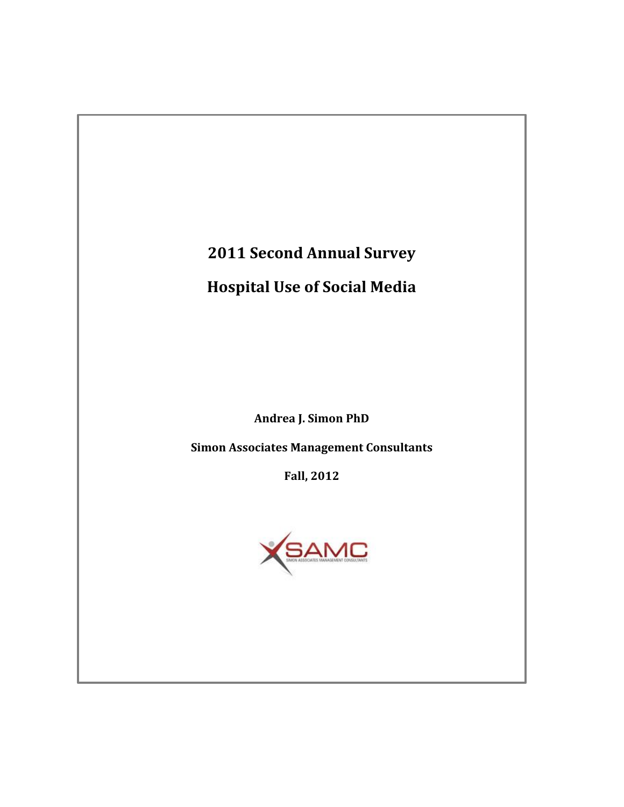# **2011 Second Annual Survey**

# **Hospital Use of Social Media**

**Andrea J. Simon PhD**

**Simon Associates Management Consultants**

**Fall, 2012**

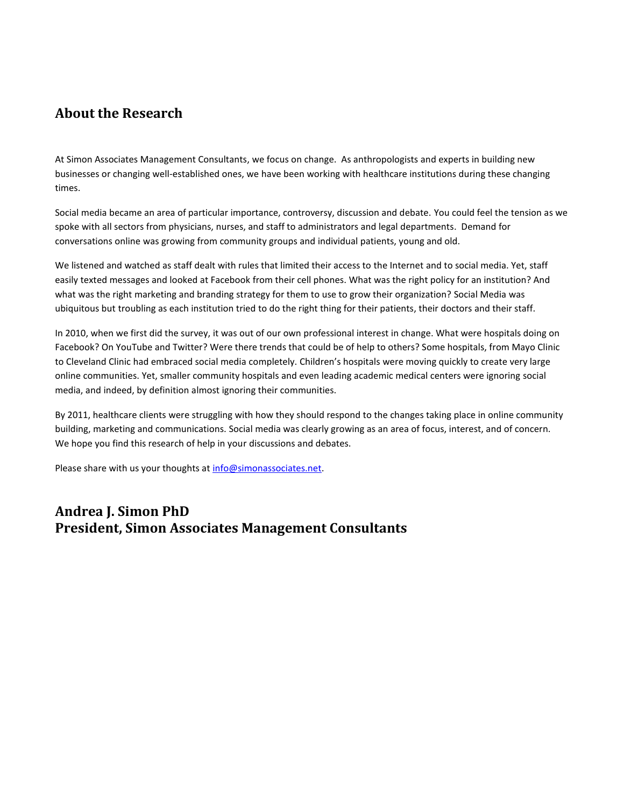### **About the Research**

At Simon Associates Management Consultants, we focus on change. As anthropologists and experts in building new businesses or changing well-established ones, we have been working with healthcare institutions during these changing times.

Social media became an area of particular importance, controversy, discussion and debate. You could feel the tension as we spoke with all sectors from physicians, nurses, and staff to administrators and legal departments. Demand for conversations online was growing from community groups and individual patients, young and old.

We listened and watched as staff dealt with rules that limited their access to the Internet and to social media. Yet, staff easily texted messages and looked at Facebook from their cell phones. What was the right policy for an institution? And what was the right marketing and branding strategy for them to use to grow their organization? Social Media was ubiquitous but troubling as each institution tried to do the right thing for their patients, their doctors and their staff.

In 2010, when we first did the survey, it was out of our own professional interest in change. What were hospitals doing on Facebook? On YouTube and Twitter? Were there trends that could be of help to others? Some hospitals, from Mayo Clinic to Cleveland Clinic had embraced social media completely. Children's hospitals were moving quickly to create very large online communities. Yet, smaller community hospitals and even leading academic medical centers were ignoring social media, and indeed, by definition almost ignoring their communities.

By 2011, healthcare clients were struggling with how they should respond to the changes taking place in online community building, marketing and communications. Social media was clearly growing as an area of focus, interest, and of concern. We hope you find this research of help in your discussions and debates.

Please share with us your thoughts a[t info@simonassociates.net.](mailto:info@simonassociates.net)

### **Andrea J. Simon PhD President, Simon Associates Management Consultants**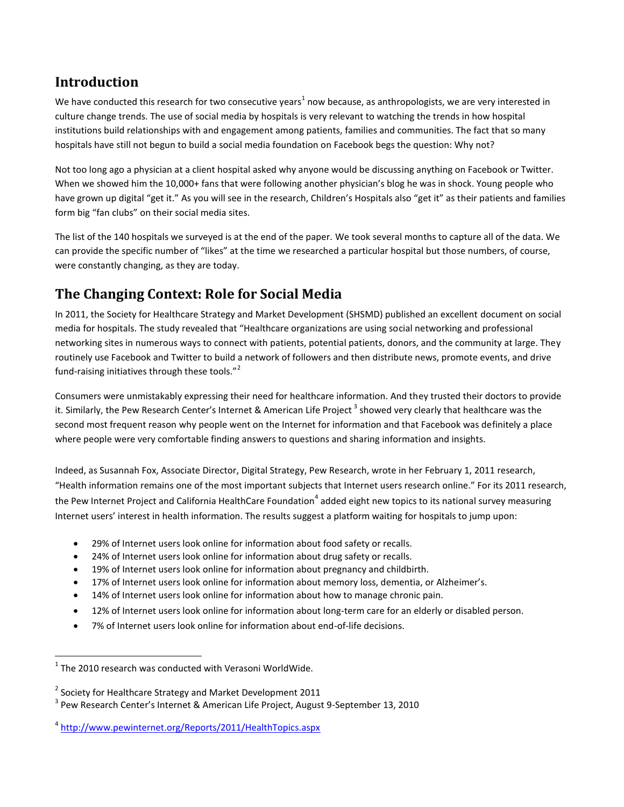### **Introduction**

We have conducted this research for two consecutive years $^1$  now because, as anthropologists, we are very interested in culture change trends. The use of social media by hospitals is very relevant to watching the trends in how hospital institutions build relationships with and engagement among patients, families and communities. The fact that so many hospitals have still not begun to build a social media foundation on Facebook begs the question: Why not?

Not too long ago a physician at a client hospital asked why anyone would be discussing anything on Facebook or Twitter. When we showed him the 10,000+ fans that were following another physician's blog he was in shock. Young people who have grown up digital "get it." As you will see in the research, Children's Hospitals also "get it" as their patients and families form big "fan clubs" on their social media sites.

The list of the 140 hospitals we surveyed is at the end of the paper. We took several months to capture all of the data. We can provide the specific number of "likes" at the time we researched a particular hospital but those numbers, of course, were constantly changing, as they are today.

# **The Changing Context: Role for Social Media**

In 2011, the Society for Healthcare Strategy and Market Development (SHSMD) published an excellent document on social media for hospitals. The study revealed that "Healthcare organizations are using social networking and professional networking sites in numerous ways to connect with patients, potential patients, donors, and the community at large. They routinely use Facebook and Twitter to build a network of followers and then distribute news, promote events, and drive fund-raising initiatives through these tools."<sup>2</sup>

Consumers were unmistakably expressing their need for healthcare information. And they trusted their doctors to provide it. Similarly, the Pew Research Center's Internet & American Life Project <sup>3</sup> showed very clearly that healthcare was the second most frequent reason why people went on the Internet for information and that Facebook was definitely a place where people were very comfortable finding answers to questions and sharing information and insights.

Indeed, as Susannah Fox, Associate Director, Digital Strategy, Pew Research, wrote in her February 1, 2011 research, "Health information remains one of the most important subjects that Internet users research online." For its 2011 research, the Pew Internet Project and California HealthCare Foundation<sup>4</sup> added eight new topics to its national survey measuring Internet users' interest in health information. The results suggest a platform waiting for hospitals to jump upon:

- 29% of Internet users look online for information about food safety or recalls.
- 24% of Internet users look online for information about drug safety or recalls.
- 19% of Internet users look online for information about pregnancy and childbirth.
- 17% of Internet users look online for information about memory loss, dementia, or Alzheimer's.
- 14% of Internet users look online for information about how to manage chronic pain.
- 12% of Internet users look online for information about long-term care for an elderly or disabled person.
- 7% of Internet users look online for information about end-of-life decisions.

 $\overline{\phantom{a}}$ 

 $^{1}$  The 2010 research was conducted with Verasoni WorldWide.

 $^2$  Society for Healthcare Strategy and Market Development 2011

<sup>&</sup>lt;sup>3</sup> Pew Research Center's Internet & American Life Project, August 9-September 13, 2010

<sup>4</sup> <http://www.pewinternet.org/Reports/2011/HealthTopics.aspx>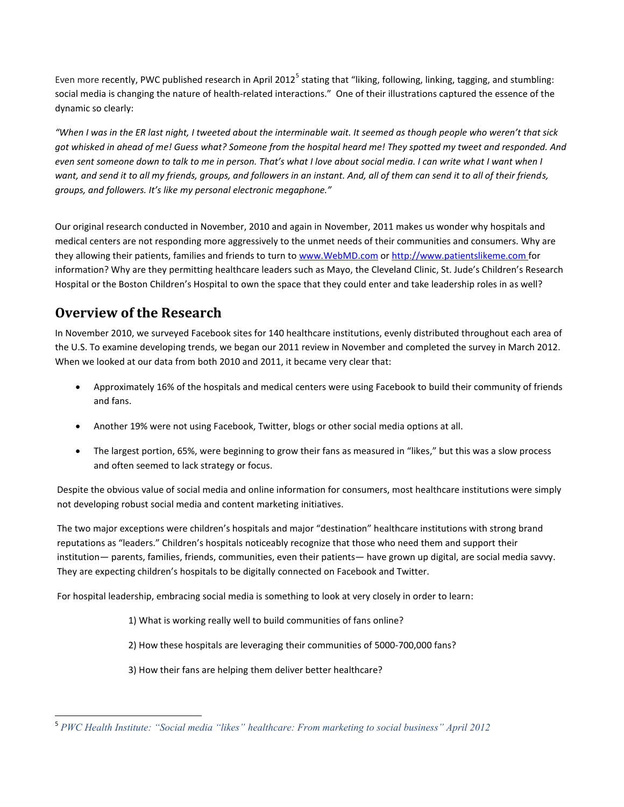Even more recently, PWC published research in April 2012<sup>5</sup> stating that "liking, following, linking, tagging, and stumbling: social media is changing the nature of health-related interactions." One of their illustrations captured the essence of the dynamic so clearly:

*"When I was in the ER last night, I tweeted about the interminable wait. It seemed as though people who weren't that sick got whisked in ahead of me! Guess what? Someone from the hospital heard me! They spotted my tweet and responded. And even sent someone down to talk to me in person. That's what I love about social media. I can write what I want when I want, and send it to all my friends, groups, and followers in an instant. And, all of them can send it to all of their friends, groups, and followers. It's like my personal electronic megaphone."*

Our original research conducted in November, 2010 and again in November, 2011 makes us wonder why hospitals and medical centers are not responding more aggressively to the unmet needs of their communities and consumers. Why are they allowing their patients, families and friends to turn t[o www.WebMD.com](file:///C:/Users/Andi%20Simon/Documents/AJS%20research%20social%20media%20Abe/www.WebMD.com) o[r http://www.patientslikeme.com](http://www.patientslikeme.com/) for information? Why are they permitting healthcare leaders such as Mayo, the Cleveland Clinic, St. Jude's Children's Research Hospital or the Boston Children's Hospital to own the space that they could enter and take leadership roles in as well?

### **Overview of the Research**

 $\overline{\phantom{a}}$ 

In November 2010, we surveyed Facebook sites for 140 healthcare institutions, evenly distributed throughout each area of the U.S. To examine developing trends, we began our 2011 review in November and completed the survey in March 2012. When we looked at our data from both 2010 and 2011, it became very clear that:

- Approximately 16% of the hospitals and medical centers were using Facebook to build their community of friends and fans.
- Another 19% were not using Facebook, Twitter, blogs or other social media options at all.
- The largest portion, 65%, were beginning to grow their fans as measured in "likes," but this was a slow process and often seemed to lack strategy or focus.

Despite the obvious value of social media and online information for consumers, most healthcare institutions were simply not developing robust social media and content marketing initiatives.

The two major exceptions were children's hospitals and major "destination" healthcare institutions with strong brand reputations as "leaders." Children's hospitals noticeably recognize that those who need them and support their institution— parents, families, friends, communities, even their patients— have grown up digital, are social media savvy. They are expecting children's hospitals to be digitally connected on Facebook and Twitter.

For hospital leadership, embracing social media is something to look at very closely in order to learn:

- 1) What is working really well to build communities of fans online?
- 2) How these hospitals are leveraging their communities of 5000-700,000 fans?
- 3) How their fans are helping them deliver better healthcare?

<sup>5</sup> *PWC Health Institute: "Social media "likes" healthcare: From marketing to social business" April 2012*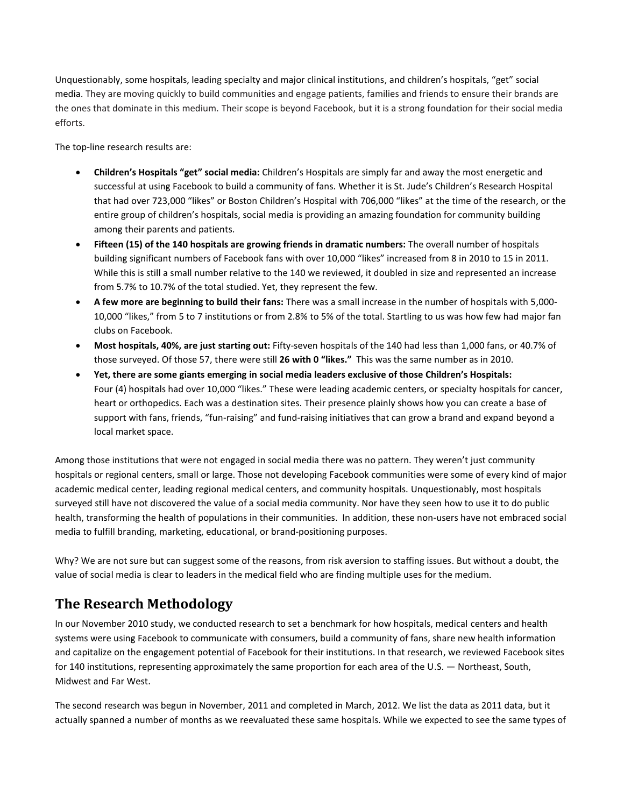Unquestionably, some hospitals, leading specialty and major clinical institutions, and children's hospitals, "get" social media. They are moving quickly to build communities and engage patients, families and friends to ensure their brands are the ones that dominate in this medium. Their scope is beyond Facebook, but it is a strong foundation for their social media efforts.

The top-line research results are:

- **Children's Hospitals "get" social media:** Children's Hospitals are simply far and away the most energetic and successful at using Facebook to build a community of fans. Whether it is St. Jude's Children's Research Hospital that had over 723,000 "likes" or Boston Children's Hospital with 706,000 "likes" at the time of the research, or the entire group of children's hospitals, social media is providing an amazing foundation for community building among their parents and patients.
- **Fifteen (15) of the 140 hospitals are growing friends in dramatic numbers:** The overall number of hospitals building significant numbers of Facebook fans with over 10,000 "likes" increased from 8 in 2010 to 15 in 2011. While this is still a small number relative to the 140 we reviewed, it doubled in size and represented an increase from 5.7% to 10.7% of the total studied. Yet, they represent the few.
- **A few more are beginning to build their fans:** There was a small increase in the number of hospitals with 5,000- 10,000 "likes," from 5 to 7 institutions or from 2.8% to 5% of the total. Startling to us was how few had major fan clubs on Facebook.
- **Most hospitals, 40%, are just starting out:** Fifty-seven hospitals of the 140 had less than 1,000 fans, or 40.7% of those surveyed. Of those 57, there were still **26 with 0 "likes."** This was the same number as in 2010.
- **Yet, there are some giants emerging in social media leaders exclusive of those Children's Hospitals:**  Four (4) hospitals had over 10,000 "likes." These were leading academic centers, or specialty hospitals for cancer, heart or orthopedics. Each was a destination sites. Their presence plainly shows how you can create a base of support with fans, friends, "fun-raising" and fund-raising initiatives that can grow a brand and expand beyond a local market space.

Among those institutions that were not engaged in social media there was no pattern. They weren't just community hospitals or regional centers, small or large. Those not developing Facebook communities were some of every kind of major academic medical center, leading regional medical centers, and community hospitals. Unquestionably, most hospitals surveyed still have not discovered the value of a social media community. Nor have they seen how to use it to do public health, transforming the health of populations in their communities. In addition, these non-users have not embraced social media to fulfill branding, marketing, educational, or brand-positioning purposes.

Why? We are not sure but can suggest some of the reasons, from risk aversion to staffing issues. But without a doubt, the value of social media is clear to leaders in the medical field who are finding multiple uses for the medium.

# **The Research Methodology**

In our November 2010 study, we conducted research to set a benchmark for how hospitals, medical centers and health systems were using Facebook to communicate with consumers, build a community of fans, share new health information and capitalize on the engagement potential of Facebook for their institutions. In that research, we reviewed Facebook sites for 140 institutions, representing approximately the same proportion for each area of the U.S. — Northeast, South, Midwest and Far West.

The second research was begun in November, 2011 and completed in March, 2012. We list the data as 2011 data, but it actually spanned a number of months as we reevaluated these same hospitals. While we expected to see the same types of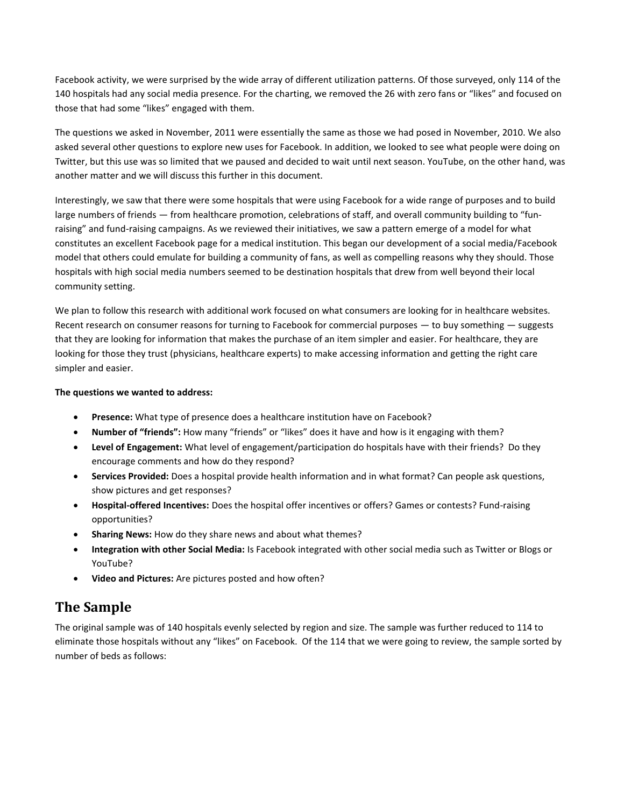Facebook activity, we were surprised by the wide array of different utilization patterns. Of those surveyed, only 114 of the 140 hospitals had any social media presence. For the charting, we removed the 26 with zero fans or "likes" and focused on those that had some "likes" engaged with them.

The questions we asked in November, 2011 were essentially the same as those we had posed in November, 2010. We also asked several other questions to explore new uses for Facebook. In addition, we looked to see what people were doing on Twitter, but this use was so limited that we paused and decided to wait until next season. YouTube, on the other hand, was another matter and we will discuss this further in this document.

Interestingly, we saw that there were some hospitals that were using Facebook for a wide range of purposes and to build large numbers of friends — from healthcare promotion, celebrations of staff, and overall community building to "funraising" and fund-raising campaigns. As we reviewed their initiatives, we saw a pattern emerge of a model for what constitutes an excellent Facebook page for a medical institution. This began our development of a social media/Facebook model that others could emulate for building a community of fans, as well as compelling reasons why they should. Those hospitals with high social media numbers seemed to be destination hospitals that drew from well beyond their local community setting.

We plan to follow this research with additional work focused on what consumers are looking for in healthcare websites. Recent research on consumer reasons for turning to Facebook for commercial purposes — to buy something — suggests that they are looking for information that makes the purchase of an item simpler and easier. For healthcare, they are looking for those they trust (physicians, healthcare experts) to make accessing information and getting the right care simpler and easier.

#### **The questions we wanted to address:**

- **Presence:** What type of presence does a healthcare institution have on Facebook?
- **Number of "friends":** How many "friends" or "likes" does it have and how is it engaging with them?
- **Level of Engagement:** What level of engagement/participation do hospitals have with their friends? Do they encourage comments and how do they respond?
- **Services Provided:** Does a hospital provide health information and in what format? Can people ask questions, show pictures and get responses?
- **Hospital-offered Incentives:** Does the hospital offer incentives or offers? Games or contests? Fund-raising opportunities?
- **Sharing News:** How do they share news and about what themes?
- **Integration with other Social Media:** Is Facebook integrated with other social media such as Twitter or Blogs or YouTube?
- **Video and Pictures:** Are pictures posted and how often?

### **The Sample**

The original sample was of 140 hospitals evenly selected by region and size. The sample was further reduced to 114 to eliminate those hospitals without any "likes" on Facebook. Of the 114 that we were going to review, the sample sorted by number of beds as follows: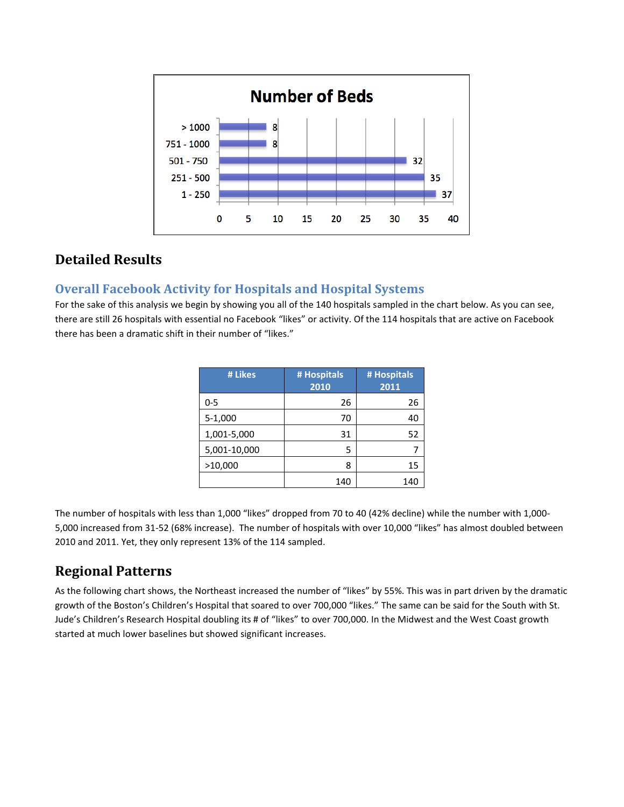

### **Detailed Results**

#### **Overall Facebook Activity for Hospitals and Hospital Systems**

For the sake of this analysis we begin by showing you all of the 140 hospitals sampled in the chart below. As you can see, there are still 26 hospitals with essential no Facebook "likes" or activity. Of the 114 hospitals that are active on Facebook there has been a dramatic shift in their number of "likes."

| # Likes      | # Hospitals<br>2010 | # Hospitals<br>2011 |
|--------------|---------------------|---------------------|
| 0-5          | 26                  | 26                  |
| 5-1,000      | 70                  | 40                  |
| 1,001-5,000  | 31                  | 52                  |
| 5,001-10,000 | 5                   |                     |
| >10,000      | 8                   | 15                  |
|              | 140                 | 140                 |

The number of hospitals with less than 1,000 "likes" dropped from 70 to 40 (42% decline) while the number with 1,000- 5,000 increased from 31-52 (68% increase). The number of hospitals with over 10,000 "likes" has almost doubled between 2010 and 2011. Yet, they only represent 13% of the 114 sampled.

# **Regional Patterns**

As the following chart shows, the Northeast increased the number of "likes" by 55%. This was in part driven by the dramatic growth of the Boston's Children's Hospital that soared to over 700,000 "likes." The same can be said for the South with St. Jude's Children's Research Hospital doubling its # of "likes" to over 700,000. In the Midwest and the West Coast growth started at much lower baselines but showed significant increases.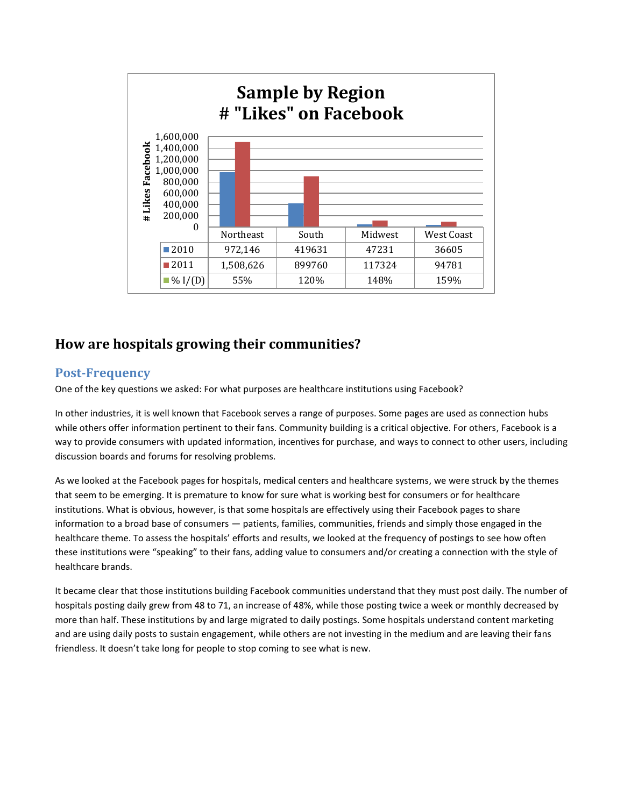

### **How are hospitals growing their communities?**

#### **Post-Frequency**

One of the key questions we asked: For what purposes are healthcare institutions using Facebook?

In other industries, it is well known that Facebook serves a range of purposes. Some pages are used as connection hubs while others offer information pertinent to their fans. Community building is a critical objective. For others, Facebook is a way to provide consumers with updated information, incentives for purchase, and ways to connect to other users, including discussion boards and forums for resolving problems.

As we looked at the Facebook pages for hospitals, medical centers and healthcare systems, we were struck by the themes that seem to be emerging. It is premature to know for sure what is working best for consumers or for healthcare institutions. What is obvious, however, is that some hospitals are effectively using their Facebook pages to share information to a broad base of consumers — patients, families, communities, friends and simply those engaged in the healthcare theme. To assess the hospitals' efforts and results, we looked at the frequency of postings to see how often these institutions were "speaking" to their fans, adding value to consumers and/or creating a connection with the style of healthcare brands.

It became clear that those institutions building Facebook communities understand that they must post daily. The number of hospitals posting daily grew from 48 to 71, an increase of 48%, while those posting twice a week or monthly decreased by more than half. These institutions by and large migrated to daily postings. Some hospitals understand content marketing and are using daily posts to sustain engagement, while others are not investing in the medium and are leaving their fans friendless. It doesn't take long for people to stop coming to see what is new.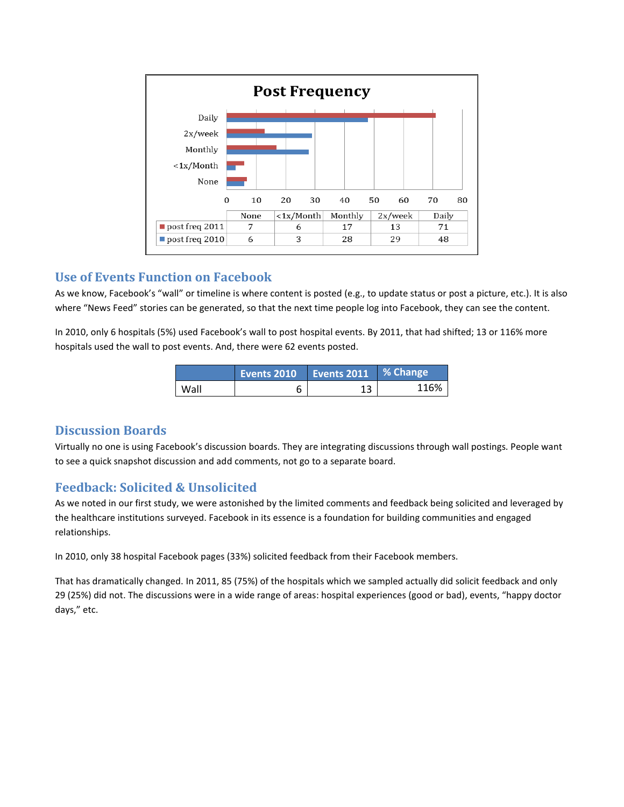

#### **Use of Events Function on Facebook**

As we know, Facebook's "wall" or timeline is where content is posted (e.g., to update status or post a picture, etc.). It is also where "News Feed" stories can be generated, so that the next time people log into Facebook, they can see the content.

In 2010, only 6 hospitals (5%) used Facebook's wall to post hospital events. By 2011, that had shifted; 13 or 116% more hospitals used the wall to post events. And, there were 62 events posted.

|      | Events 2010 | Events 2011 | ■ % Change |
|------|-------------|-------------|------------|
| Wall |             |             | 116%       |

#### **Discussion Boards**

Virtually no one is using Facebook's discussion boards. They are integrating discussions through wall postings. People want to see a quick snapshot discussion and add comments, not go to a separate board.

#### **Feedback: Solicited & Unsolicited**

As we noted in our first study, we were astonished by the limited comments and feedback being solicited and leveraged by the healthcare institutions surveyed. Facebook in its essence is a foundation for building communities and engaged relationships.

In 2010, only 38 hospital Facebook pages (33%) solicited feedback from their Facebook members.

That has dramatically changed. In 2011, 85 (75%) of the hospitals which we sampled actually did solicit feedback and only 29 (25%) did not. The discussions were in a wide range of areas: hospital experiences (good or bad), events, "happy doctor days," etc.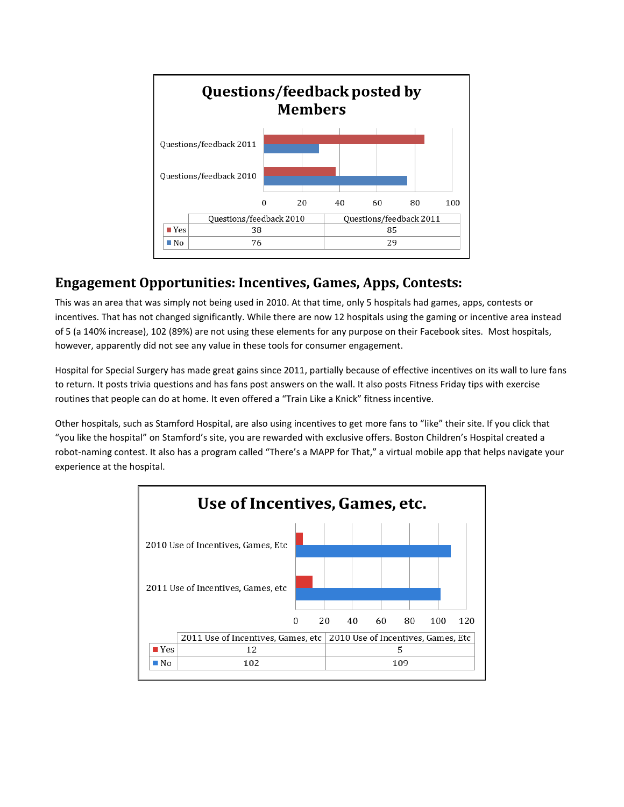

### **Engagement Opportunities: Incentives, Games, Apps, Contests:**

This was an area that was simply not being used in 2010. At that time, only 5 hospitals had games, apps, contests or incentives. That has not changed significantly. While there are now 12 hospitals using the gaming or incentive area instead of 5 (a 140% increase), 102 (89%) are not using these elements for any purpose on their Facebook sites. Most hospitals, however, apparently did not see any value in these tools for consumer engagement.

Hospital for Special Surgery has made great gains since 2011, partially because of effective incentives on its wall to lure fans to return. It posts trivia questions and has fans post answers on the wall. It also posts Fitness Friday tips with exercise routines that people can do at home. It even offered a "Train Like a Knick" fitness incentive.

Other hospitals, such as Stamford Hospital, are also using incentives to get more fans to "like" their site. If you click that "you like the hospital" on Stamford's site, you are rewarded with exclusive offers. Boston Children's Hospital created a robot-naming contest. It also has a program called "There's a MAPP for That," a virtual mobile app that helps navigate your experience at the hospital.

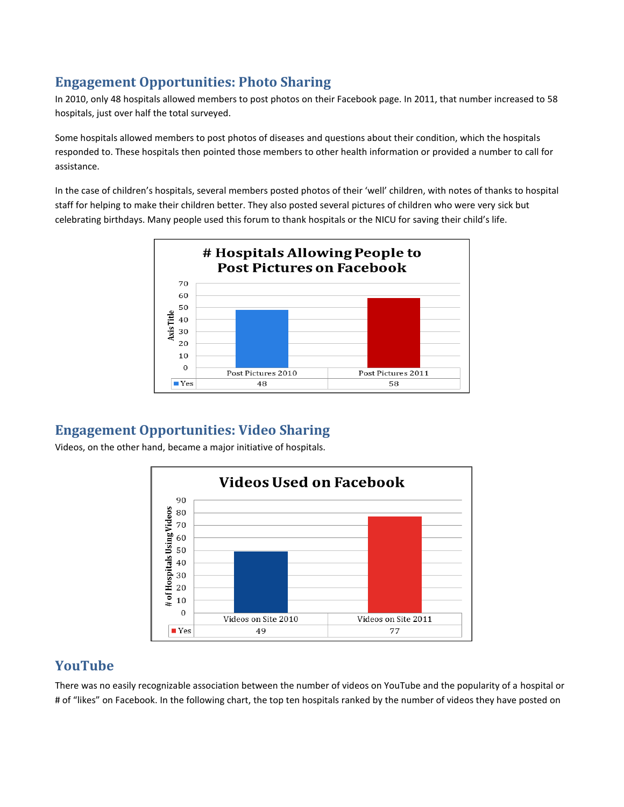### **Engagement Opportunities: Photo Sharing**

In 2010, only 48 hospitals allowed members to post photos on their Facebook page. In 2011, that number increased to 58 hospitals, just over half the total surveyed.

Some hospitals allowed members to post photos of diseases and questions about their condition, which the hospitals responded to. These hospitals then pointed those members to other health information or provided a number to call for assistance.

In the case of children's hospitals, several members posted photos of their 'well' children, with notes of thanks to hospital staff for helping to make their children better. They also posted several pictures of children who were very sick but celebrating birthdays. Many people used this forum to thank hospitals or the NICU for saving their child's life.



### **Engagement Opportunities: Video Sharing**

Videos, on the other hand, became a major initiative of hospitals.



### **YouTube**

There was no easily recognizable association between the number of videos on YouTube and the popularity of a hospital or # of "likes" on Facebook. In the following chart, the top ten hospitals ranked by the number of videos they have posted on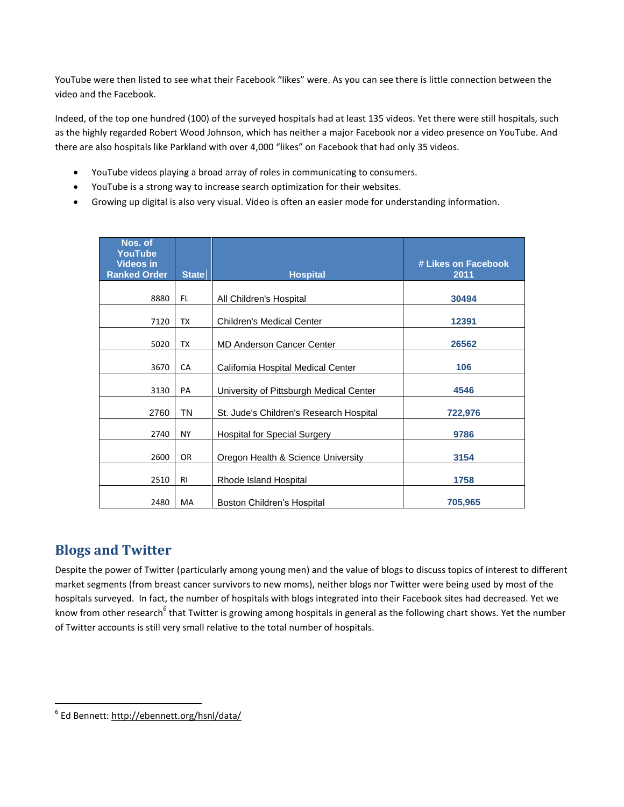YouTube were then listed to see what their Facebook "likes" were. As you can see there is little connection between the video and the Facebook.

Indeed, of the top one hundred (100) of the surveyed hospitals had at least 135 videos. Yet there were still hospitals, such as the highly regarded Robert Wood Johnson, which has neither a major Facebook nor a video presence on YouTube. And there are also hospitals like Parkland with over 4,000 "likes" on Facebook that had only 35 videos.

- YouTube videos playing a broad array of roles in communicating to consumers.
- YouTube is a strong way to increase search optimization for their websites.
- Growing up digital is also very visual. Video is often an easier mode for understanding information.

| Nos. of<br><b>YouTube</b><br><b>Videos in</b> |                |                                         | # Likes on Facebook |
|-----------------------------------------------|----------------|-----------------------------------------|---------------------|
| <b>Ranked Order</b>                           | <b>State</b>   | <b>Hospital</b>                         | 2011                |
| 8880                                          | FL.            | All Children's Hospital                 | 30494               |
| 7120                                          | ТX             | <b>Children's Medical Center</b>        | 12391               |
| 5020                                          | ТX             | <b>MD Anderson Cancer Center</b>        | 26562               |
| 3670                                          | CA             | California Hospital Medical Center      | 106                 |
| 3130                                          | PA             | University of Pittsburgh Medical Center | 4546                |
| 2760                                          | <b>TN</b>      | St. Jude's Children's Research Hospital | 722,976             |
| 2740                                          | <b>NY</b>      | <b>Hospital for Special Surgery</b>     | 9786                |
| 2600                                          | OR.            | Oregon Health & Science University      | 3154                |
| 2510                                          | R <sub>l</sub> | Rhode Island Hospital                   | 1758                |
| 2480                                          | MA             | Boston Children's Hospital              | 705,965             |

### **Blogs and Twitter**

Despite the power of Twitter (particularly among young men) and the value of blogs to discuss topics of interest to different market segments (from breast cancer survivors to new moms), neither blogs nor Twitter were being used by most of the hospitals surveyed. In fact, the number of hospitals with blogs integrated into their Facebook sites had decreased. Yet we know from other research<sup>6</sup> that Twitter is growing among hospitals in general as the following chart shows. Yet the number of Twitter accounts is still very small relative to the total number of hospitals.

endiese<br>|<br>| Ed Bennett: <u>http://ebennett.org/hsnl/data/</u>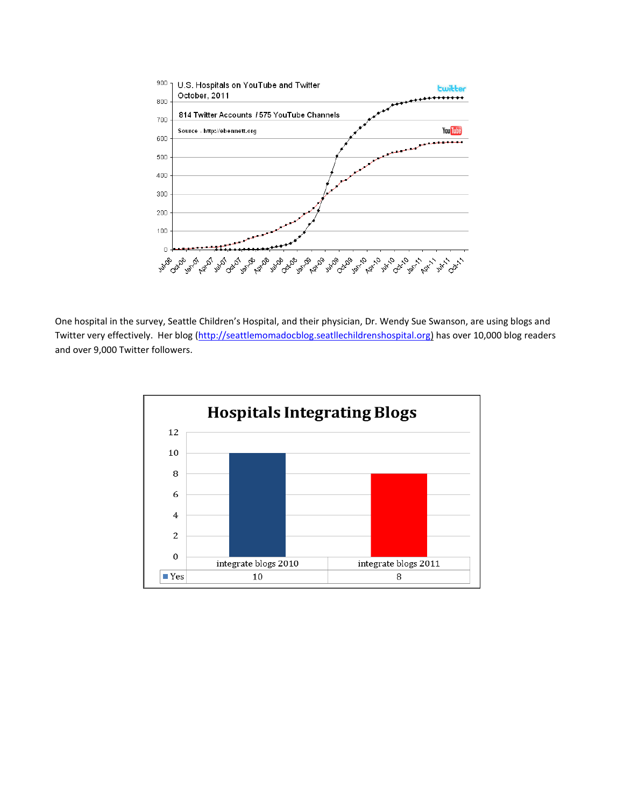

One hospital in the survey, Seattle Children's Hospital, and their physician, Dr. Wendy Sue Swanson, are using blogs and Twitter very effectively. Her blog [\(http://seattlemomadocblog.seatllechildrenshospital.org\)](http://seattlemomadocblog.seatllechildrenshospital.org/) has over 10,000 blog readers and over 9,000 Twitter followers.

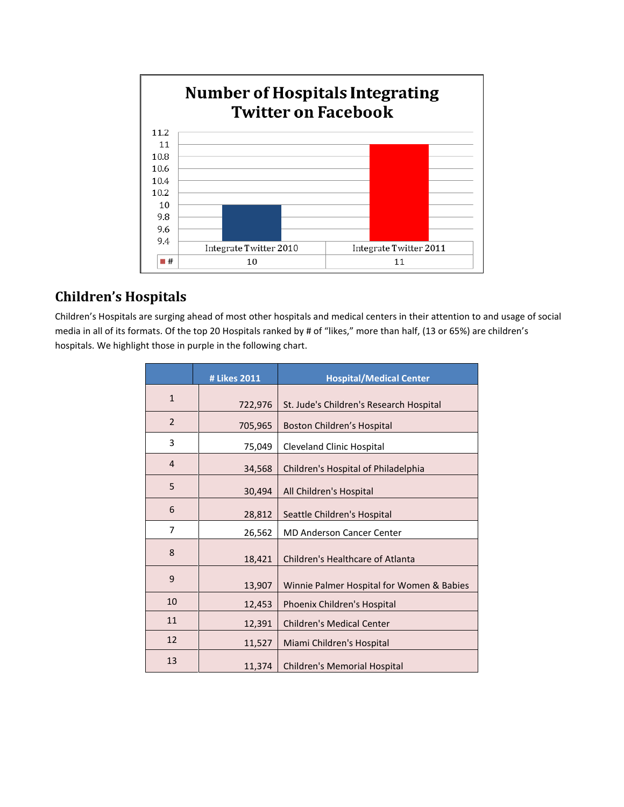

# **Children's Hospitals**

Children's Hospitals are surging ahead of most other hospitals and medical centers in their attention to and usage of social media in all of its formats. Of the top 20 Hospitals ranked by # of "likes," more than half, (13 or 65%) are children's hospitals. We highlight those in purple in the following chart.

|                | # Likes 2011 | <b>Hospital/Medical Center</b>            |
|----------------|--------------|-------------------------------------------|
| $\mathbf{1}$   | 722,976      | St. Jude's Children's Research Hospital   |
| $\overline{2}$ | 705,965      | Boston Children's Hospital                |
| 3              | 75,049       | <b>Cleveland Clinic Hospital</b>          |
| $\overline{4}$ | 34,568       | Children's Hospital of Philadelphia       |
| 5              | 30,494       | All Children's Hospital                   |
| 6              | 28,812       | Seattle Children's Hospital               |
| 7              | 26,562       | <b>MD Anderson Cancer Center</b>          |
| 8              | 18,421       | Children's Healthcare of Atlanta          |
| 9              | 13,907       | Winnie Palmer Hospital for Women & Babies |
| 10             | 12,453       | Phoenix Children's Hospital               |
| 11             | 12,391       | <b>Children's Medical Center</b>          |
| 12             | 11,527       | Miami Children's Hospital                 |
| 13             | 11,374       | <b>Children's Memorial Hospital</b>       |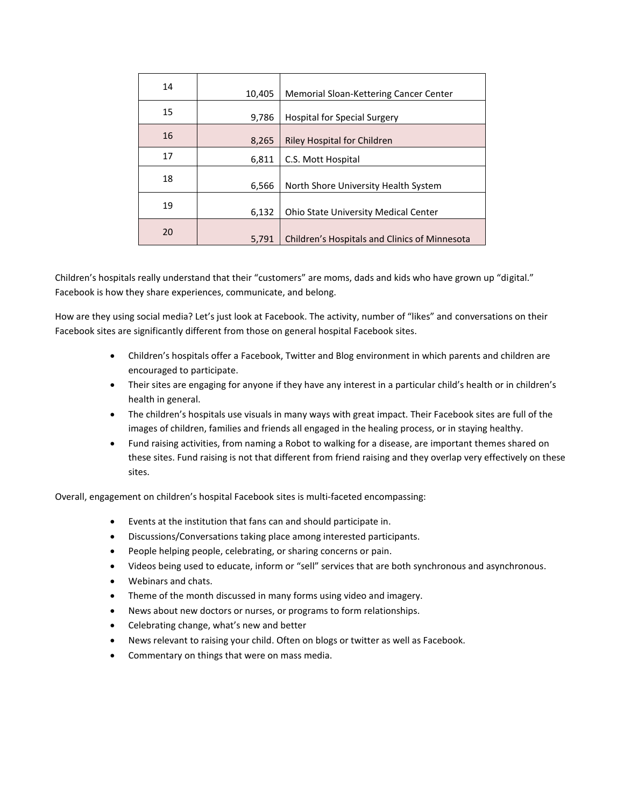| 14 | 10,405 | Memorial Sloan-Kettering Cancer Center        |
|----|--------|-----------------------------------------------|
| 15 | 9,786  | <b>Hospital for Special Surgery</b>           |
| 16 | 8,265  | <b>Riley Hospital for Children</b>            |
| 17 | 6,811  | C.S. Mott Hospital                            |
| 18 | 6,566  | North Shore University Health System          |
| 19 | 6,132  | <b>Ohio State University Medical Center</b>   |
| 20 | 5,791  | Children's Hospitals and Clinics of Minnesota |

Children's hospitals really understand that their "customers" are moms, dads and kids who have grown up "digital." Facebook is how they share experiences, communicate, and belong.

How are they using social media? Let's just look at Facebook. The activity, number of "likes" and conversations on their Facebook sites are significantly different from those on general hospital Facebook sites.

- Children's hospitals offer a Facebook, Twitter and Blog environment in which parents and children are encouraged to participate.
- Their sites are engaging for anyone if they have any interest in a particular child's health or in children's health in general.
- The children's hospitals use visuals in many ways with great impact. Their Facebook sites are full of the images of children, families and friends all engaged in the healing process, or in staying healthy.
- Fund raising activities, from naming a Robot to walking for a disease, are important themes shared on these sites. Fund raising is not that different from friend raising and they overlap very effectively on these sites.

Overall, engagement on children's hospital Facebook sites is multi-faceted encompassing:

- Events at the institution that fans can and should participate in.
- Discussions/Conversations taking place among interested participants.
- People helping people, celebrating, or sharing concerns or pain.
- Videos being used to educate, inform or "sell" services that are both synchronous and asynchronous.
- Webinars and chats.
- Theme of the month discussed in many forms using video and imagery.
- News about new doctors or nurses, or programs to form relationships.
- Celebrating change, what's new and better
- News relevant to raising your child. Often on blogs or twitter as well as Facebook.
- Commentary on things that were on mass media.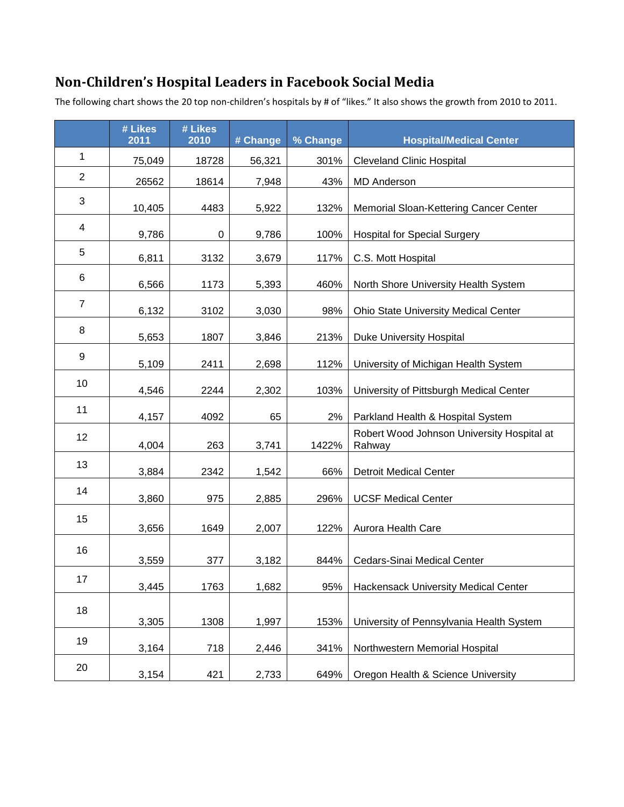# **Non-Children's Hospital Leaders in Facebook Social Media**

The following chart shows the 20 top non-children's hospitals by # of "likes." It also shows the growth from 2010 to 2011.

|                | # Likes<br>2011 | # Likes<br>2010 | # Change | % Change | <b>Hospital/Medical Center</b>                       |
|----------------|-----------------|-----------------|----------|----------|------------------------------------------------------|
| $\mathbf{1}$   | 75,049          | 18728           | 56,321   | 301%     | <b>Cleveland Clinic Hospital</b>                     |
| $\overline{2}$ | 26562           | 18614           | 7,948    | 43%      | <b>MD Anderson</b>                                   |
| 3              | 10,405          | 4483            | 5,922    | 132%     | Memorial Sloan-Kettering Cancer Center               |
| 4              | 9,786           | 0               | 9,786    | 100%     | <b>Hospital for Special Surgery</b>                  |
| 5              | 6,811           | 3132            | 3,679    | 117%     | C.S. Mott Hospital                                   |
| 6              | 6,566           | 1173            | 5,393    | 460%     | North Shore University Health System                 |
| $\overline{7}$ | 6,132           | 3102            | 3,030    | 98%      | <b>Ohio State University Medical Center</b>          |
| 8              | 5,653           | 1807            | 3,846    | 213%     | Duke University Hospital                             |
| 9              | 5,109           | 2411            | 2,698    | 112%     | University of Michigan Health System                 |
| 10             | 4,546           | 2244            | 2,302    | 103%     | University of Pittsburgh Medical Center              |
| 11             | 4,157           | 4092            | 65       | 2%       | Parkland Health & Hospital System                    |
| 12             | 4,004           | 263             | 3,741    | 1422%    | Robert Wood Johnson University Hospital at<br>Rahway |
| 13             | 3,884           | 2342            | 1,542    | 66%      | <b>Detroit Medical Center</b>                        |
| 14             | 3,860           | 975             | 2,885    | 296%     | <b>UCSF Medical Center</b>                           |
| 15             | 3,656           | 1649            | 2,007    | 122%     | Aurora Health Care                                   |
| 16             | 3,559           | 377             | 3,182    | 844%     | Cedars-Sinai Medical Center                          |
| 17             | 3,445           | 1763            | 1,682    | 95%      | Hackensack University Medical Center                 |
| 18             | 3,305           | 1308            | 1,997    | 153%     | University of Pennsylvania Health System             |
| 19             | 3,164           | 718             | 2,446    | 341%     | Northwestern Memorial Hospital                       |
| 20             | 3,154           | 421             | 2,733    | 649%     | Oregon Health & Science University                   |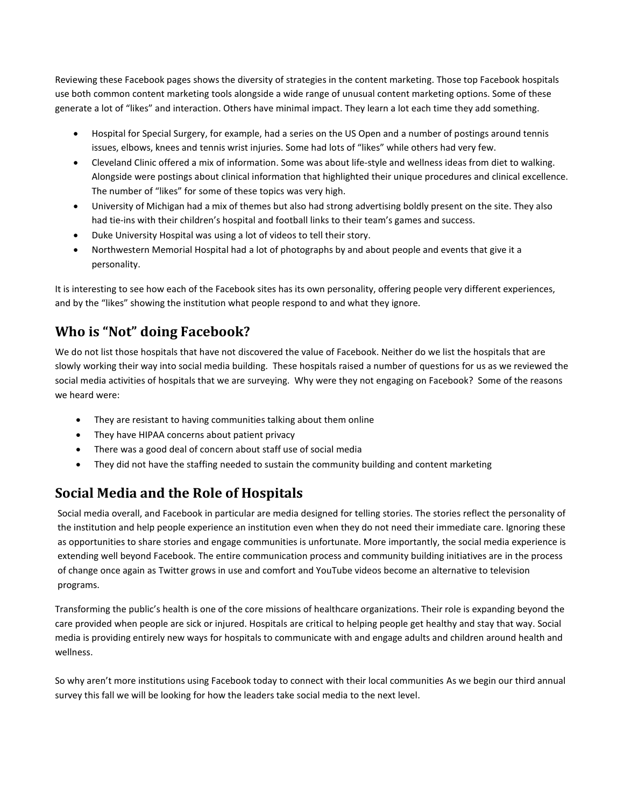Reviewing these Facebook pages shows the diversity of strategies in the content marketing. Those top Facebook hospitals use both common content marketing tools alongside a wide range of unusual content marketing options. Some of these generate a lot of "likes" and interaction. Others have minimal impact. They learn a lot each time they add something.

- Hospital for Special Surgery, for example, had a series on the US Open and a number of postings around tennis issues, elbows, knees and tennis wrist injuries. Some had lots of "likes" while others had very few.
- Cleveland Clinic offered a mix of information. Some was about life-style and wellness ideas from diet to walking. Alongside were postings about clinical information that highlighted their unique procedures and clinical excellence. The number of "likes" for some of these topics was very high.
- University of Michigan had a mix of themes but also had strong advertising boldly present on the site. They also had tie-ins with their children's hospital and football links to their team's games and success.
- Duke University Hospital was using a lot of videos to tell their story.
- Northwestern Memorial Hospital had a lot of photographs by and about people and events that give it a personality.

It is interesting to see how each of the Facebook sites has its own personality, offering people very different experiences, and by the "likes" showing the institution what people respond to and what they ignore.

# **Who is "Not" doing Facebook?**

We do not list those hospitals that have not discovered the value of Facebook. Neither do we list the hospitals that are slowly working their way into social media building. These hospitals raised a number of questions for us as we reviewed the social media activities of hospitals that we are surveying. Why were they not engaging on Facebook? Some of the reasons we heard were:

- They are resistant to having communities talking about them online
- They have HIPAA concerns about patient privacy
- There was a good deal of concern about staff use of social media
- They did not have the staffing needed to sustain the community building and content marketing

# **Social Media and the Role of Hospitals**

Social media overall, and Facebook in particular are media designed for telling stories. The stories reflect the personality of the institution and help people experience an institution even when they do not need their immediate care. Ignoring these as opportunities to share stories and engage communities is unfortunate. More importantly, the social media experience is extending well beyond Facebook. The entire communication process and community building initiatives are in the process of change once again as Twitter grows in use and comfort and YouTube videos become an alternative to television programs.

Transforming the public's health is one of the core missions of healthcare organizations. Their role is expanding beyond the care provided when people are sick or injured. Hospitals are critical to helping people get healthy and stay that way. Social media is providing entirely new ways for hospitals to communicate with and engage adults and children around health and wellness.

So why aren't more institutions using Facebook today to connect with their local communities As we begin our third annual survey this fall we will be looking for how the leaders take social media to the next level.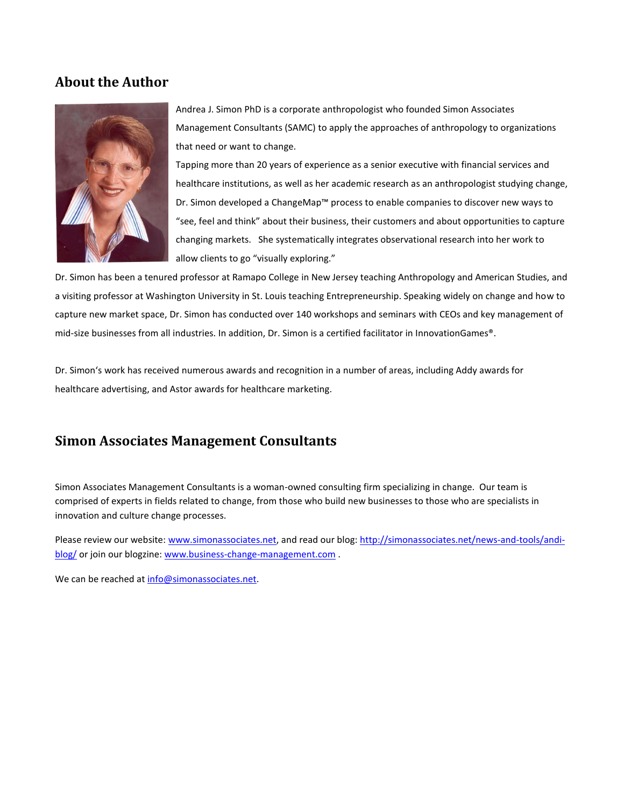#### **About the Author**



Andrea J. Simon PhD is a corporate anthropologist who founded Simon Associates Management Consultants (SAMC) to apply the approaches of anthropology to organizations that need or want to change.

Tapping more than 20 years of experience as a senior executive with financial services and healthcare institutions, as well as her academic research as an anthropologist studying change, Dr. Simon developed a ChangeMap™ process to enable companies to discover new ways to "see, feel and think" about their business, their customers and about opportunities to capture changing markets. She systematically integrates observational research into her work to allow clients to go "visually exploring."

Dr. Simon has been a tenured professor at Ramapo College in New Jersey teaching Anthropology and American Studies, and a visiting professor at Washington University in St. Louis teaching Entrepreneurship. Speaking widely on change and how to capture new market space, Dr. Simon has conducted over 140 workshops and seminars with CEOs and key management of mid-size businesses from all industries. In addition, Dr. Simon is a certified facilitator in InnovationGames®.

Dr. Simon's work has received numerous awards and recognition in a number of areas, including Addy awards for healthcare advertising, and Astor awards for healthcare marketing.

### **Simon Associates Management Consultants**

Simon Associates Management Consultants is a woman-owned consulting firm specializing in change. Our team is comprised of experts in fields related to change, from those who build new businesses to those who are specialists in innovation and culture change processes.

Please review our website: [www.simonassociates.net,](http://www.simonassociates.net/) and read our blog: [http://simonassociates.net/news-and-tools/andi](http://simonassociates.net/news-and-tools/andi-blog/)[blog/](http://simonassociates.net/news-and-tools/andi-blog/) or join our blogzine[: www.business-change-management.com](http://www.business-change-management.com/).

We can be reached at [info@simonassociates.net.](mailto:info@simonassociates.net)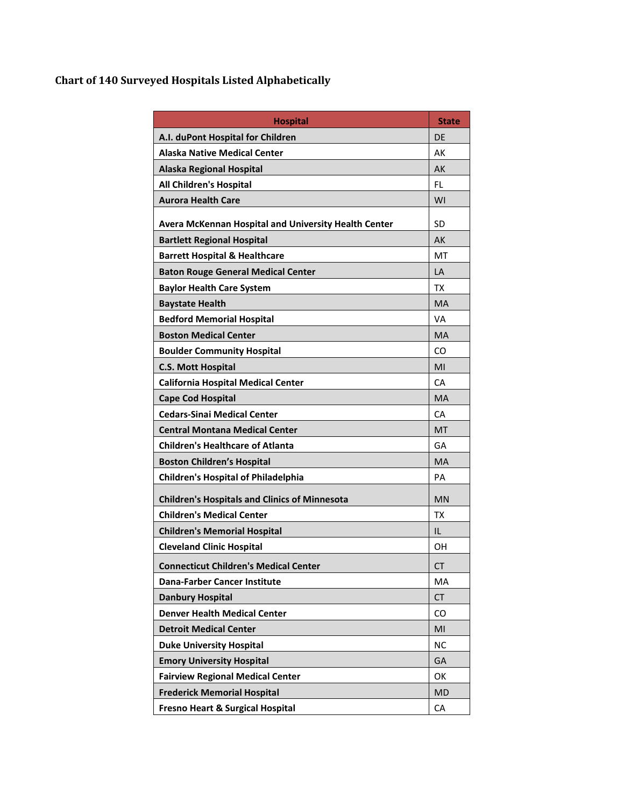### **Chart of 140 Surveyed Hospitals Listed Alphabetically**

| <b>Hospital</b>                                      | <b>State</b> |
|------------------------------------------------------|--------------|
| A.I. duPont Hospital for Children                    | DE           |
| <b>Alaska Native Medical Center</b>                  | AK           |
| <b>Alaska Regional Hospital</b>                      | AK           |
| <b>All Children's Hospital</b>                       | FL.          |
| <b>Aurora Health Care</b>                            | WI           |
| Avera McKennan Hospital and University Health Center | <b>SD</b>    |
| <b>Bartlett Regional Hospital</b>                    | AK           |
| <b>Barrett Hospital &amp; Healthcare</b>             | МT           |
| <b>Baton Rouge General Medical Center</b>            | LA           |
| <b>Baylor Health Care System</b>                     | ТX           |
| <b>Baystate Health</b>                               | <b>MA</b>    |
| <b>Bedford Memorial Hospital</b>                     | VA           |
| <b>Boston Medical Center</b>                         | <b>MA</b>    |
| <b>Boulder Community Hospital</b>                    | CO           |
| <b>C.S. Mott Hospital</b>                            | MI           |
| <b>California Hospital Medical Center</b>            | СA           |
| <b>Cape Cod Hospital</b>                             | <b>MA</b>    |
| <b>Cedars-Sinai Medical Center</b>                   | СA           |
| <b>Central Montana Medical Center</b>                | <b>MT</b>    |
| <b>Children's Healthcare of Atlanta</b>              | GА           |
| <b>Boston Children's Hospital</b>                    | <b>MA</b>    |
| <b>Children's Hospital of Philadelphia</b>           | PА           |
| <b>Children's Hospitals and Clinics of Minnesota</b> | <b>MN</b>    |
| <b>Children's Medical Center</b>                     | <b>TX</b>    |
| <b>Children's Memorial Hospital</b>                  | IL           |
| <b>Cleveland Clinic Hospital</b>                     | OН           |
| <b>Connecticut Children's Medical Center</b>         | CT           |
| <b>Dana-Farber Cancer Institute</b>                  | МA           |
| <b>Danbury Hospital</b>                              | <b>CT</b>    |
| <b>Denver Health Medical Center</b>                  | CO           |
| <b>Detroit Medical Center</b>                        | MI           |
| <b>Duke University Hospital</b>                      | <b>NC</b>    |
| <b>Emory University Hospital</b>                     | GA           |
| <b>Fairview Regional Medical Center</b>              | OK           |
| <b>Frederick Memorial Hospital</b>                   | <b>MD</b>    |
| Fresno Heart & Surgical Hospital                     | CA           |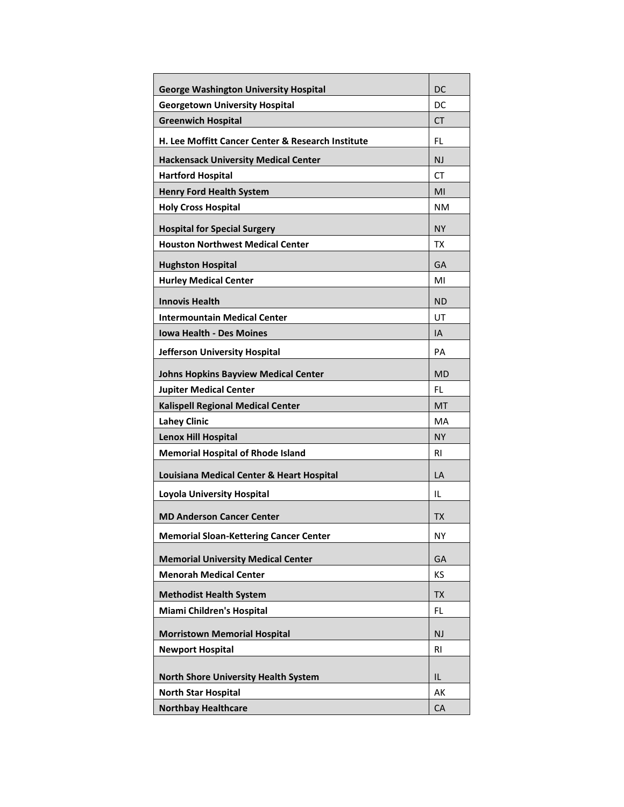| <b>George Washington University Hospital</b>                 | DC        |
|--------------------------------------------------------------|-----------|
| <b>Georgetown University Hospital</b>                        | DC        |
| <b>Greenwich Hospital</b>                                    | СT        |
| <b>H. Lee Moffitt Cancer Center &amp; Research Institute</b> | FL        |
| <b>Hackensack University Medical Center</b>                  | <b>NJ</b> |
| <b>Hartford Hospital</b>                                     | СT        |
| <b>Henry Ford Health System</b>                              | MI        |
| <b>Holy Cross Hospital</b>                                   | NM        |
| <b>Hospital for Special Surgery</b>                          | NΥ        |
| <b>Houston Northwest Medical Center</b>                      | ТX        |
| <b>Hughston Hospital</b>                                     | GA        |
| <b>Hurley Medical Center</b>                                 | MI        |
| <b>Innovis Health</b>                                        | <b>ND</b> |
| <b>Intermountain Medical Center</b>                          | UT        |
| <b>Iowa Health - Des Moines</b>                              | IA        |
| Jefferson University Hospital                                | PA        |
| <b>Johns Hopkins Bayview Medical Center</b>                  | MD        |
| <b>Jupiter Medical Center</b>                                | FL.       |
| <b>Kalispell Regional Medical Center</b>                     | MT        |
| <b>Lahey Clinic</b>                                          | MA        |
| <b>Lenox Hill Hospital</b>                                   | <b>NY</b> |
| <b>Memorial Hospital of Rhode Island</b>                     | RI        |
|                                                              |           |
| Louisiana Medical Center & Heart Hospital                    | LA        |
| <b>Loyola University Hospital</b>                            | IL        |
| <b>MD Anderson Cancer Center</b>                             | TX        |
| <b>Memorial Sloan-Kettering Cancer Center</b>                | <b>NY</b> |
| <b>Memorial University Medical Center</b>                    | GA        |
| <b>Menorah Medical Center</b>                                | KS        |
| <b>Methodist Health System</b>                               | <b>TX</b> |
| Miami Children's Hospital                                    | FL        |
|                                                              |           |
| <b>Morristown Memorial Hospital</b>                          | <b>NJ</b> |
| <b>Newport Hospital</b>                                      | <b>RI</b> |
| <b>North Shore University Health System</b>                  | IL        |
| <b>North Star Hospital</b>                                   | AK        |
| <b>Northbay Healthcare</b>                                   | CA        |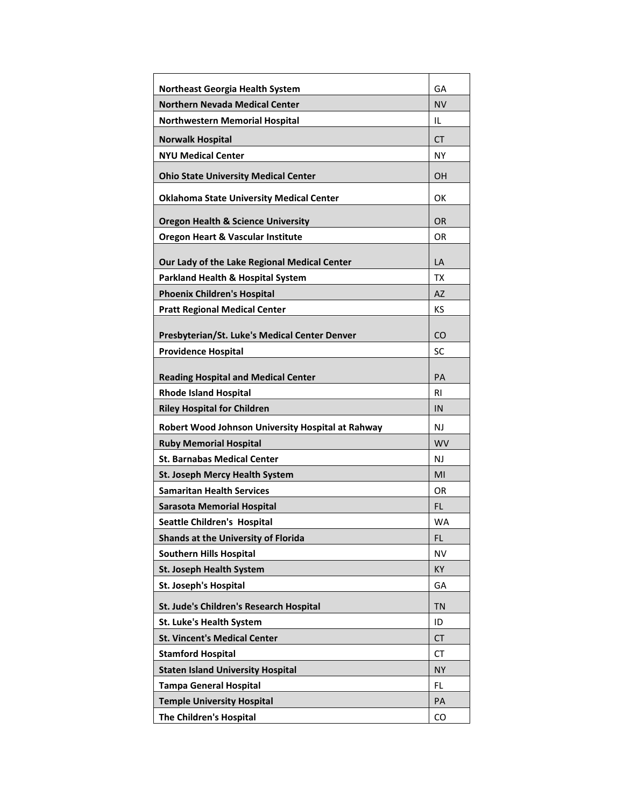| <b>Northeast Georgia Health System</b>            | GA        |
|---------------------------------------------------|-----------|
| <b>Northern Nevada Medical Center</b>             | NV        |
| <b>Northwestern Memorial Hospital</b>             | IL        |
| <b>Norwalk Hospital</b>                           | СT        |
| <b>NYU Medical Center</b>                         | NΥ        |
| <b>Ohio State University Medical Center</b>       | OΗ        |
| <b>Oklahoma State University Medical Center</b>   | ок        |
| <b>Oregon Health &amp; Science University</b>     | <b>OR</b> |
| <b>Oregon Heart &amp; Vascular Institute</b>      | OR        |
| Our Lady of the Lake Regional Medical Center      | LA        |
| <b>Parkland Health &amp; Hospital System</b>      | TX        |
| <b>Phoenix Children's Hospital</b>                | <b>AZ</b> |
| <b>Pratt Regional Medical Center</b>              | КS        |
|                                                   |           |
| Presbyterian/St. Luke's Medical Center Denver     | CO        |
| <b>Providence Hospital</b>                        | SC        |
| <b>Reading Hospital and Medical Center</b>        | PA        |
| <b>Rhode Island Hospital</b>                      | RI        |
|                                                   |           |
| <b>Riley Hospital for Children</b>                | IN        |
| Robert Wood Johnson University Hospital at Rahway | NJ        |
| <b>Ruby Memorial Hospital</b>                     | <b>WV</b> |
| <b>St. Barnabas Medical Center</b>                | NJ        |
| St. Joseph Mercy Health System                    | MI        |
| <b>Samaritan Health Services</b>                  | OR        |
| <b>Sarasota Memorial Hospital</b>                 | <b>FL</b> |
| <b>Seattle Children's Hospital</b>                | WA        |
| Shands at the University of Florida               | FL        |
| <b>Southern Hills Hospital</b>                    | NV        |
| <b>St. Joseph Health System</b>                   | KY        |
| <b>St. Joseph's Hospital</b>                      | GA        |
| St. Jude's Children's Research Hospital           | <b>TN</b> |
| St. Luke's Health System                          | ID        |
| <b>St. Vincent's Medical Center</b>               | <b>CT</b> |
| <b>Stamford Hospital</b>                          | CT        |
| <b>Staten Island University Hospital</b>          | <b>NY</b> |
| <b>Tampa General Hospital</b>                     | FL        |
| <b>Temple University Hospital</b>                 | PA        |